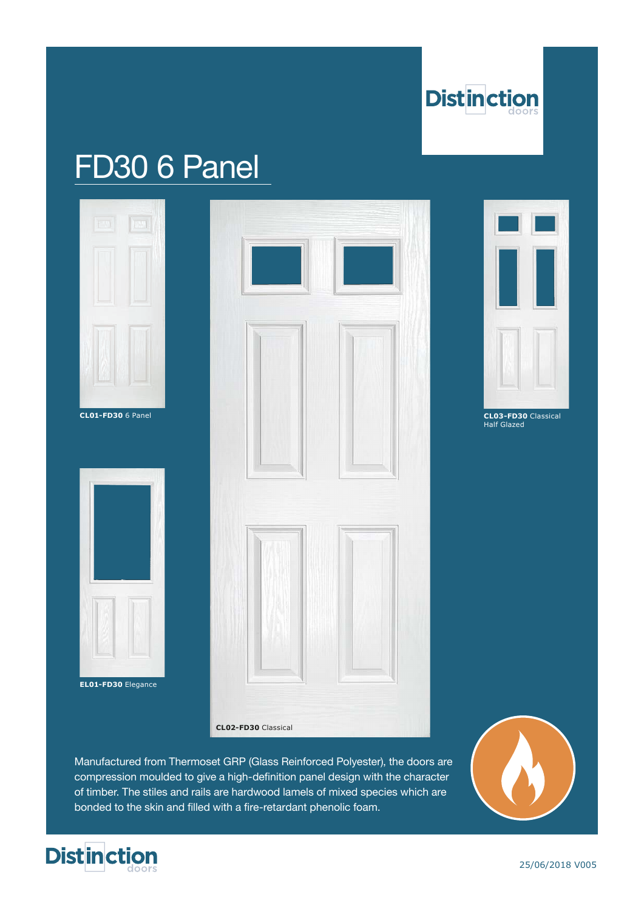

# FD30 6 Panel







**CL03-FD30** Classical Half Glazed

Manufactured from Thermoset GRP (Glass Reinforced Polyester), the doors are compression moulded to give a high-definition panel design with the character of timber. The stiles and rails are hardwood lamels of mixed species which are bonded to the skin and filled with a fire-retardant phenolic foam.



**EL01-FD30** Elegance